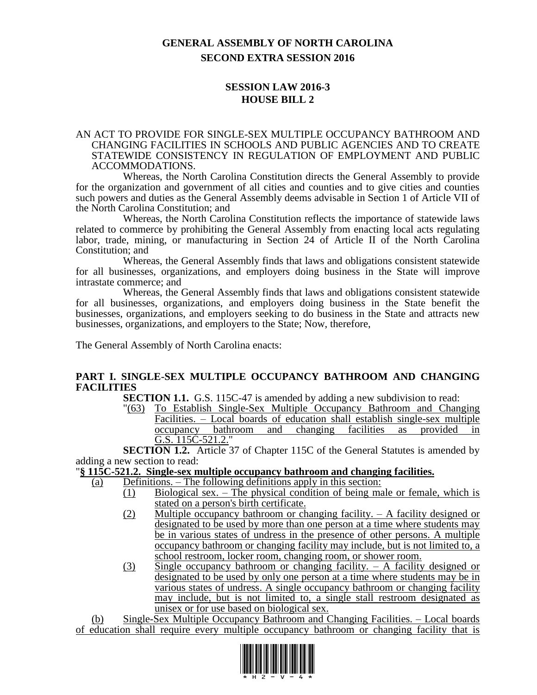# **GENERAL ASSEMBLY OF NORTH CAROLINA SECOND EXTRA SESSION 2016**

# **SESSION LAW 2016-3 HOUSE BILL 2**

#### AN ACT TO PROVIDE FOR SINGLE-SEX MULTIPLE OCCUPANCY BATHROOM AND CHANGING FACILITIES IN SCHOOLS AND PUBLIC AGENCIES AND TO CREATE STATEWIDE CONSISTENCY IN REGULATION OF EMPLOYMENT AND PUBLIC ACCOMMODATIONS.

Whereas, the North Carolina Constitution directs the General Assembly to provide for the organization and government of all cities and counties and to give cities and counties such powers and duties as the General Assembly deems advisable in Section 1 of Article VII of the North Carolina Constitution; and

Whereas, the North Carolina Constitution reflects the importance of statewide laws related to commerce by prohibiting the General Assembly from enacting local acts regulating labor, trade, mining, or manufacturing in Section 24 of Article II of the North Carolina Constitution; and

Whereas, the General Assembly finds that laws and obligations consistent statewide for all businesses, organizations, and employers doing business in the State will improve intrastate commerce; and

Whereas, the General Assembly finds that laws and obligations consistent statewide for all businesses, organizations, and employers doing business in the State benefit the businesses, organizations, and employers seeking to do business in the State and attracts new businesses, organizations, and employers to the State; Now, therefore,

The General Assembly of North Carolina enacts:

## **PART I. SINGLE-SEX MULTIPLE OCCUPANCY BATHROOM AND CHANGING FACILITIES**

**SECTION 1.1.** G.S. 115C-47 is amended by adding a new subdivision to read:

"(63) To Establish Single-Sex Multiple Occupancy Bathroom and Changing Facilities. – Local boards of education shall establish single-sex multiple occupancy bathroom and changing facilities as provided in G.S. 115C-521.2."

**SECTION 1.2.** Article 37 of Chapter 115C of the General Statutes is amended by adding a new section to read:

## "**§ 115C-521.2. Single-sex multiple occupancy bathroom and changing facilities.**

- (a) Definitions. The following definitions apply in this section:
	- $\overline{(1)}$  Biological sex. The physical condition of being male or female, which is stated on a person's birth certificate.
	- (2) Multiple occupancy bathroom or changing facility. A facility designed or designated to be used by more than one person at a time where students may be in various states of undress in the presence of other persons. A multiple occupancy bathroom or changing facility may include, but is not limited to, a school restroom, locker room, changing room, or shower room.
	- (3) Single occupancy bathroom or changing facility.  $-$  A facility designed or designated to be used by only one person at a time where students may be in various states of undress. A single occupancy bathroom or changing facility may include, but is not limited to, a single stall restroom designated as unisex or for use based on biological sex.

(b) Single-Sex Multiple Occupancy Bathroom and Changing Facilities. – Local boards of education shall require every multiple occupancy bathroom or changing facility that is

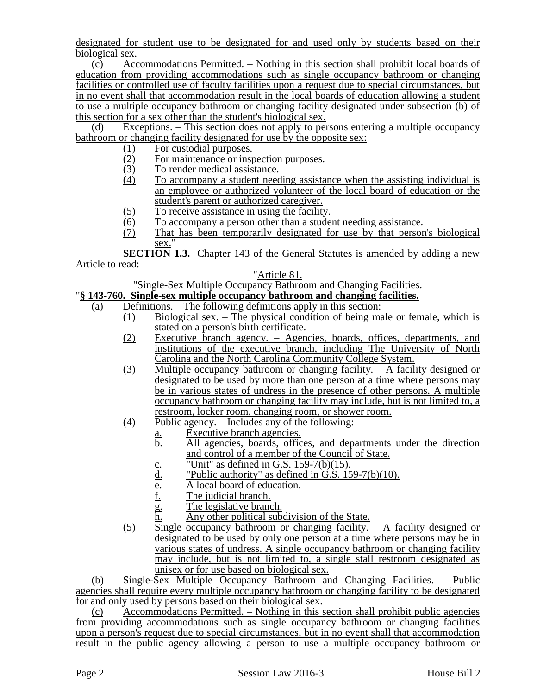designated for student use to be designated for and used only by students based on their biological sex.

(c) Accommodations Permitted. – Nothing in this section shall prohibit local boards of education from providing accommodations such as single occupancy bathroom or changing facilities or controlled use of faculty facilities upon a request due to special circumstances, but in no event shall that accommodation result in the local boards of education allowing a student to use a multiple occupancy bathroom or changing facility designated under subsection (b) of this section for a sex other than the student's biological sex.

(d) Exceptions. – This section does not apply to persons entering a multiple occupancy bathroom or changing facility designated for use by the opposite sex:

- (1) For custodial purposes.<br>(2) For maintenance or insp
- $\frac{12}{2}$  For maintenance or inspection purposes.<br>  $\frac{12}{2}$  To render medical assistance.
- $\frac{(3)}{(4)}$  To render medical assistance.<br>To accompany a student need
- To accompany a student needing assistance when the assisting individual is an employee or authorized volunteer of the local board of education or the student's parent or authorized caregiver.
- 
- $\underline{(5)}$  To receive assistance in using the facility.<br>  $\underline{(6)}$  To accompany a person other than a stude  $\frac{1}{10}$  To accompany a person other than a student needing assistance.<br>That has been temporarily designated for use by that person
- That has been temporarily designated for use by that person's biological sex.

**SECTION 1.3.** Chapter 143 of the General Statutes is amended by adding a new Article to read:

## "Article 81.

"Single-Sex Multiple Occupancy Bathroom and Changing Facilities.

# "**§ 143-760. Single-sex multiple occupancy bathroom and changing facilities.**

- (a) Definitions. The following definitions apply in this section:
	- (1) Biological sex. The physical condition of being male or female, which is stated on a person's birth certificate.
	- (2) Executive branch agency. Agencies, boards, offices, departments, and institutions of the executive branch, including The University of North Carolina and the North Carolina Community College System.
	- (3) Multiple occupancy bathroom or changing facility. A facility designed or designated to be used by more than one person at a time where persons may be in various states of undress in the presence of other persons. A multiple occupancy bathroom or changing facility may include, but is not limited to, a restroom, locker room, changing room, or shower room.
	- (4) Public agency. Includes any of the following:
		- a. Executive branch agencies.
		- b. All agencies, boards, offices, and departments under the direction and control of a member of the Council of State.
		-
		- $\frac{c}{d}$  "Unit" as defined in G.S. 159-7(b)(15).<br>"Public authority" as defined in G.S. 15 d. "Public authority" as defined in G.S. 159-7(b)(10).<br>
		<u>E.</u> A local board of education.<br>
		<u>F.</u> The judicial branch.
		- A local board of education.
		- $\frac{\overline{f}}{g}$ . The judicial branch.<br>The legislative branc
		- The legislative branch.
		- h. Any other political subdivision of the State.
	- $(5)$  Single occupancy bathroom or changing facility.  $-$  A facility designed or designated to be used by only one person at a time where persons may be in various states of undress. A single occupancy bathroom or changing facility may include, but is not limited to, a single stall restroom designated as unisex or for use based on biological sex.

(b) Single-Sex Multiple Occupancy Bathroom and Changing Facilities. – Public agencies shall require every multiple occupancy bathroom or changing facility to be designated for and only used by persons based on their biological sex.

(c) Accommodations Permitted. – Nothing in this section shall prohibit public agencies from providing accommodations such as single occupancy bathroom or changing facilities upon a person's request due to special circumstances, but in no event shall that accommodation result in the public agency allowing a person to use a multiple occupancy bathroom or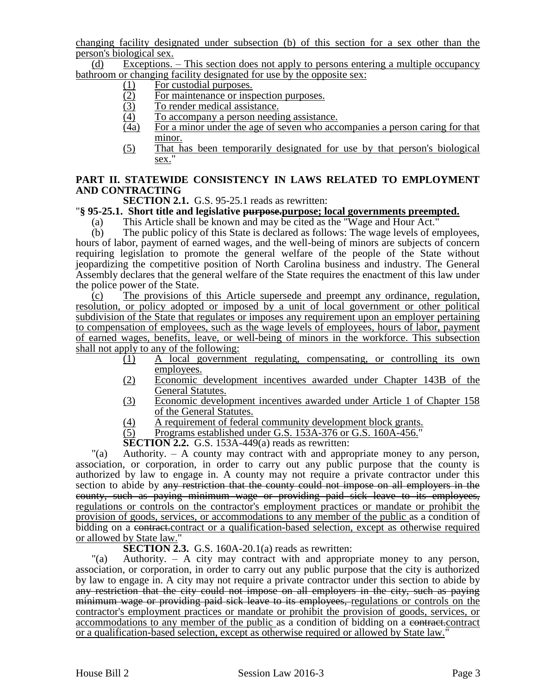changing facility designated under subsection (b) of this section for a sex other than the person's biological sex.

(d) Exceptions. – This section does not apply to persons entering a multiple occupancy bathroom or changing facility designated for use by the opposite sex:

- 
- (1) For custodial purposes.<br>(2) For maintenance or ins  $\frac{12}{2}$  For maintenance or inspection purposes.<br>
To render medical assistance.
- $\overline{(3)}$  To render medical assistance.<br>  $\overline{(4)}$  To accompany a person needi
- To accompany a person needing assistance.
- (4a) For a minor under the age of seven who accompanies a person caring for that minor.
- (5) That has been temporarily designated for use by that person's biological sex."

# **PART II. STATEWIDE CONSISTENCY IN LAWS RELATED TO EMPLOYMENT AND CONTRACTING**

**SECTION 2.1.** G.S. 95-25.1 reads as rewritten:

## "**§ 95-25.1. Short title and legislative purpose.purpose; local governments preempted.**

(a) This Article shall be known and may be cited as the "Wage and Hour Act."

(b) The public policy of this State is declared as follows: The wage levels of employees, hours of labor, payment of earned wages, and the well-being of minors are subjects of concern requiring legislation to promote the general welfare of the people of the State without jeopardizing the competitive position of North Carolina business and industry. The General Assembly declares that the general welfare of the State requires the enactment of this law under the police power of the State.

(c) The provisions of this Article supersede and preempt any ordinance, regulation, resolution, or policy adopted or imposed by a unit of local government or other political subdivision of the State that regulates or imposes any requirement upon an employer pertaining to compensation of employees, such as the wage levels of employees, hours of labor, payment of earned wages, benefits, leave, or well-being of minors in the workforce. This subsection shall not apply to any of the following:

- $(1)$  A local government regulating, compensating, or controlling its own employees.
- (2) Economic development incentives awarded under Chapter 143B of the General Statutes.
- (3) Economic development incentives awarded under Article 1 of Chapter 158 of the General Statutes.
- (4) A requirement of federal community development block grants.<br>(5) Programs established under G.S. 153A-376 or G.S. 160A-456."
- Programs established under G.S. 153A-376 or G.S. 160A-456."

**SECTION 2.2.** G.S. 153A-449(a) reads as rewritten:

"(a) Authority. – A county may contract with and appropriate money to any person, association, or corporation, in order to carry out any public purpose that the county is authorized by law to engage in. A county may not require a private contractor under this section to abide by any restriction that the county could not impose on all employers in the county, such as paying minimum wage or providing paid sick leave to its employees, regulations or controls on the contractor's employment practices or mandate or prohibit the provision of goods, services, or accommodations to any member of the public as a condition of bidding on a contract.contract or a qualification-based selection, except as otherwise required or allowed by State law."

**SECTION 2.3.** G.S. 160A-20.1(a) reads as rewritten:

"(a) Authority. – A city may contract with and appropriate money to any person, association, or corporation, in order to carry out any public purpose that the city is authorized by law to engage in. A city may not require a private contractor under this section to abide by any restriction that the city could not impose on all employers in the city, such as paying minimum wage or providing paid sick leave to its employees, regulations or controls on the contractor's employment practices or mandate or prohibit the provision of goods, services, or accommodations to any member of the public as a condition of bidding on a contract.contract or a qualification-based selection, except as otherwise required or allowed by State law."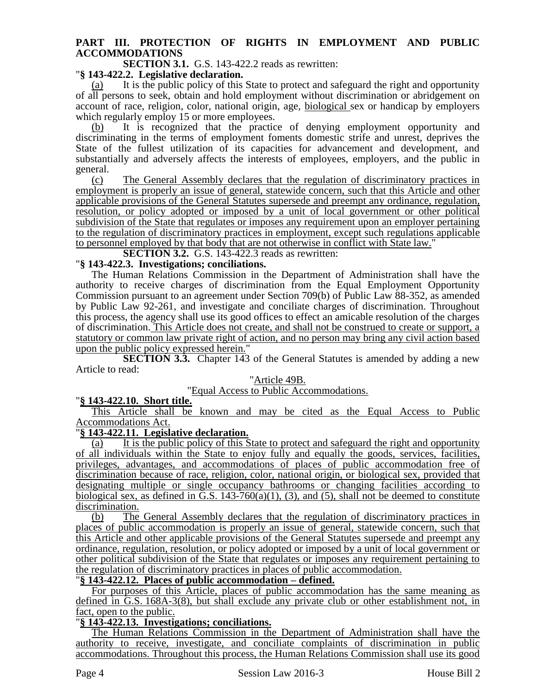# **PART III. PROTECTION OF RIGHTS IN EMPLOYMENT AND PUBLIC ACCOMMODATIONS**

**SECTION 3.1.** G.S. 143-422.2 reads as rewritten:

#### "**§ 143-422.2. Legislative declaration.**

It is the public policy of this State to protect and safeguard the right and opportunity of all persons to seek, obtain and hold employment without discrimination or abridgement on account of race, religion, color, national origin, age, biological sex or handicap by employers which regularly employ 15 or more employees.

It is recognized that the practice of denying employment opportunity and discriminating in the terms of employment foments domestic strife and unrest, deprives the State of the fullest utilization of its capacities for advancement and development, and substantially and adversely affects the interests of employees, employers, and the public in general.

(c) The General Assembly declares that the regulation of discriminatory practices in employment is properly an issue of general, statewide concern, such that this Article and other applicable provisions of the General Statutes supersede and preempt any ordinance, regulation, resolution, or policy adopted or imposed by a unit of local government or other political subdivision of the State that regulates or imposes any requirement upon an employer pertaining to the regulation of discriminatory practices in employment, except such regulations applicable to personnel employed by that body that are not otherwise in conflict with State law."

**SECTION 3.2.** G.S. 143-422.3 reads as rewritten:

#### "**§ 143-422.3. Investigations; conciliations.**

The Human Relations Commission in the Department of Administration shall have the authority to receive charges of discrimination from the Equal Employment Opportunity Commission pursuant to an agreement under Section 709(b) of Public Law 88-352, as amended by Public Law 92-261, and investigate and conciliate charges of discrimination. Throughout this process, the agency shall use its good offices to effect an amicable resolution of the charges of discrimination. This Article does not create, and shall not be construed to create or support, a statutory or common law private right of action, and no person may bring any civil action based upon the public policy expressed herein."

**SECTION 3.3.** Chapter 143 of the General Statutes is amended by adding a new Article to read:

#### "Article 49B.

"Equal Access to Public Accommodations.

## "**§ 143-422.10. Short title.**

This Article shall be known and may be cited as the Equal Access to Public Accommodations Act.

## "**§ 143-422.11. Legislative declaration.**

(a) It is the public policy of this State to protect and safeguard the right and opportunity of all individuals within the State to enjoy fully and equally the goods, services, facilities, privileges, advantages, and accommodations of places of public accommodation free of discrimination because of race, religion, color, national origin, or biological sex, provided that designating multiple or single occupancy bathrooms or changing facilities according to biological sex, as defined in  $\bar{G}.S. 143-760(a)(1)$ , (3), and (5), shall not be deemed to constitute discrimination.

(b) The General Assembly declares that the regulation of discriminatory practices in places of public accommodation is properly an issue of general, statewide concern, such that this Article and other applicable provisions of the General Statutes supersede and preempt any ordinance, regulation, resolution, or policy adopted or imposed by a unit of local government or other political subdivision of the State that regulates or imposes any requirement pertaining to the regulation of discriminatory practices in places of public accommodation.

## "**§ 143-422.12. Places of public accommodation – defined.**

For purposes of this Article, places of public accommodation has the same meaning as defined in G.S. 168A-3(8), but shall exclude any private club or other establishment not, in fact, open to the public.

## "**§ 143-422.13. Investigations; conciliations.**

The Human Relations Commission in the Department of Administration shall have the authority to receive, investigate, and conciliate complaints of discrimination in public accommodations. Throughout this process, the Human Relations Commission shall use its good